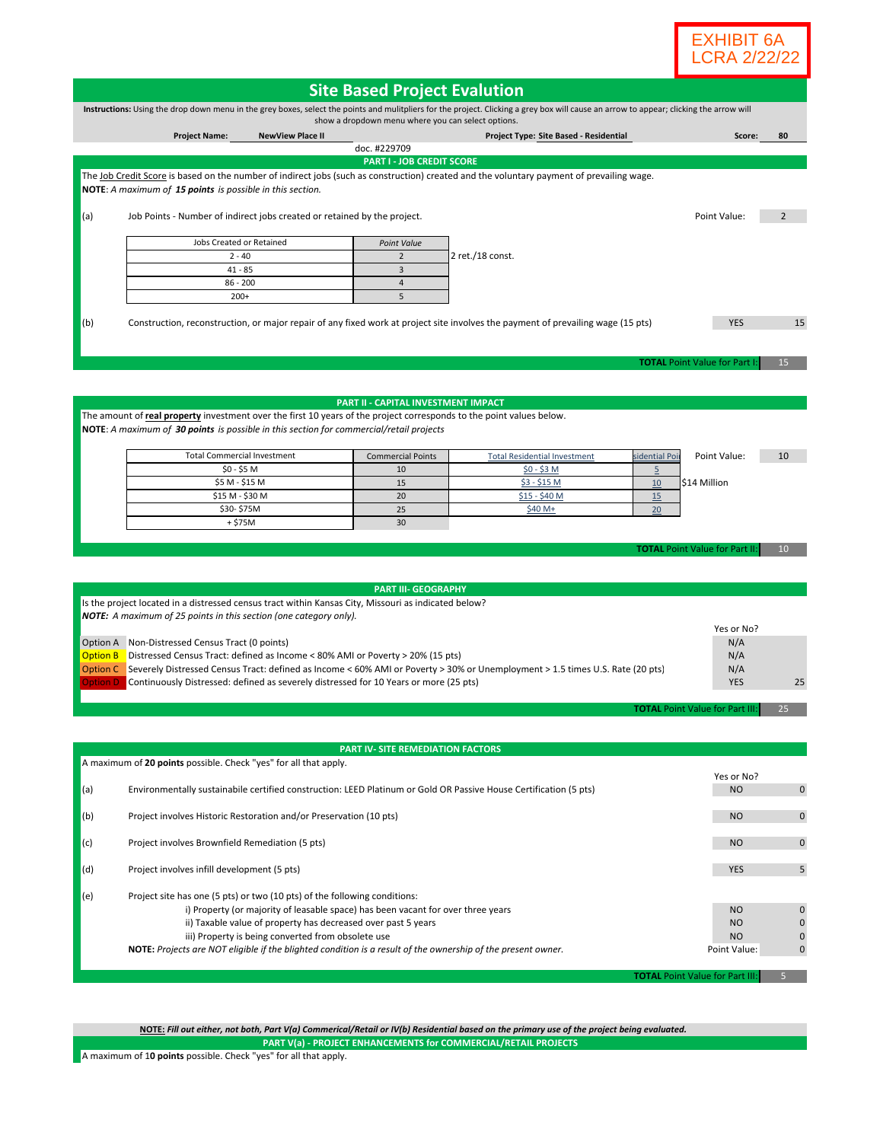

| <b>Site Based Project Evalution</b>                                                                                                                                                                                                           |                                                                                                                                                                                                                                                                                                                                                                                                      |                         |                                          |                                                                                                                                           |                                                     |                                                          |             |
|-----------------------------------------------------------------------------------------------------------------------------------------------------------------------------------------------------------------------------------------------|------------------------------------------------------------------------------------------------------------------------------------------------------------------------------------------------------------------------------------------------------------------------------------------------------------------------------------------------------------------------------------------------------|-------------------------|------------------------------------------|-------------------------------------------------------------------------------------------------------------------------------------------|-----------------------------------------------------|----------------------------------------------------------|-------------|
| Instructions: Using the drop down menu in the grey boxes, select the points and mulitpliers for the project. Clicking a grey box will cause an arrow to appear; clicking the arrow will<br>show a dropdown menu where you can select options. |                                                                                                                                                                                                                                                                                                                                                                                                      |                         |                                          |                                                                                                                                           |                                                     |                                                          |             |
|                                                                                                                                                                                                                                               | <b>Project Name:</b>                                                                                                                                                                                                                                                                                                                                                                                 | <b>NewView Place II</b> |                                          | Project Type: Site Based - Residential                                                                                                    |                                                     | Score:                                                   | 80          |
|                                                                                                                                                                                                                                               |                                                                                                                                                                                                                                                                                                                                                                                                      |                         | doc. #229709                             |                                                                                                                                           |                                                     |                                                          |             |
|                                                                                                                                                                                                                                               |                                                                                                                                                                                                                                                                                                                                                                                                      |                         | <b>PART I - JOB CREDIT SCORE</b>         |                                                                                                                                           |                                                     |                                                          |             |
|                                                                                                                                                                                                                                               | NOTE: A maximum of 15 points is possible in this section.                                                                                                                                                                                                                                                                                                                                            |                         |                                          | The Job Credit Score is based on the number of indirect jobs (such as construction) created and the voluntary payment of prevailing wage. |                                                     |                                                          |             |
| (a)                                                                                                                                                                                                                                           | Job Points - Number of indirect jobs created or retained by the project.                                                                                                                                                                                                                                                                                                                             |                         |                                          |                                                                                                                                           |                                                     | Point Value:                                             | 2           |
|                                                                                                                                                                                                                                               | Jobs Created or Retained                                                                                                                                                                                                                                                                                                                                                                             |                         | Point Value                              |                                                                                                                                           |                                                     |                                                          |             |
|                                                                                                                                                                                                                                               | $2 - 40$                                                                                                                                                                                                                                                                                                                                                                                             |                         | $\overline{2}$                           | $2$ ret./18 const.                                                                                                                        |                                                     |                                                          |             |
|                                                                                                                                                                                                                                               | $41 - 85$                                                                                                                                                                                                                                                                                                                                                                                            |                         | $\overline{3}$<br>$\overline{4}$         |                                                                                                                                           |                                                     |                                                          |             |
|                                                                                                                                                                                                                                               | $86 - 200$<br>$200+$                                                                                                                                                                                                                                                                                                                                                                                 |                         | 5                                        |                                                                                                                                           |                                                     |                                                          |             |
| (b)                                                                                                                                                                                                                                           |                                                                                                                                                                                                                                                                                                                                                                                                      |                         |                                          | Construction, reconstruction, or major repair of any fixed work at project site involves the payment of prevailing wage (15 pts)          |                                                     | <b>YES</b><br><b>TOTAL Point Value for Part I</b>        | 15<br>15    |
|                                                                                                                                                                                                                                               | The amount of real property investment over the first 10 years of the project corresponds to the point values below.                                                                                                                                                                                                                                                                                 |                         | PART II - CAPITAL INVESTMENT IMPACT      |                                                                                                                                           |                                                     |                                                          |             |
|                                                                                                                                                                                                                                               | NOTE: A maximum of 30 points is possible in this section for commercial/retail projects                                                                                                                                                                                                                                                                                                              |                         |                                          |                                                                                                                                           |                                                     |                                                          |             |
|                                                                                                                                                                                                                                               | <b>Total Commercial Investment</b>                                                                                                                                                                                                                                                                                                                                                                   |                         | <b>Commercial Points</b>                 | <b>Total Residential Investment</b>                                                                                                       | sidential Poi                                       | Point Value:                                             | 10          |
|                                                                                                                                                                                                                                               | $$0 - $5 M$$                                                                                                                                                                                                                                                                                                                                                                                         |                         | 10                                       | $$0 - $3 M$$                                                                                                                              | $\overline{5}$                                      |                                                          |             |
|                                                                                                                                                                                                                                               | \$5 M - \$15 M<br>\$15 M - \$30 M                                                                                                                                                                                                                                                                                                                                                                    |                         | 15<br>20                                 | \$3 - \$15 M<br><u>\$15 - \$40 M</u>                                                                                                      | 10                                                  | \$14 Million                                             |             |
|                                                                                                                                                                                                                                               | \$30-\$75M                                                                                                                                                                                                                                                                                                                                                                                           |                         | 25                                       | \$40 M+                                                                                                                                   | 15<br>20                                            |                                                          |             |
|                                                                                                                                                                                                                                               | $+ $75M$                                                                                                                                                                                                                                                                                                                                                                                             |                         | 30                                       |                                                                                                                                           |                                                     |                                                          |             |
|                                                                                                                                                                                                                                               |                                                                                                                                                                                                                                                                                                                                                                                                      |                         |                                          |                                                                                                                                           |                                                     |                                                          |             |
|                                                                                                                                                                                                                                               |                                                                                                                                                                                                                                                                                                                                                                                                      |                         |                                          |                                                                                                                                           |                                                     | <b>TOTAL Point Value for Part II</b>                     | 10          |
|                                                                                                                                                                                                                                               |                                                                                                                                                                                                                                                                                                                                                                                                      |                         |                                          |                                                                                                                                           |                                                     |                                                          |             |
|                                                                                                                                                                                                                                               |                                                                                                                                                                                                                                                                                                                                                                                                      |                         | <b>PART III- GEOGRAPHY</b>               |                                                                                                                                           |                                                     |                                                          |             |
|                                                                                                                                                                                                                                               | Is the project located in a distressed census tract within Kansas City, Missouri as indicated below?                                                                                                                                                                                                                                                                                                 |                         |                                          |                                                                                                                                           |                                                     |                                                          |             |
|                                                                                                                                                                                                                                               | <b>NOTE:</b> A maximum of 25 points in this section (one category only).                                                                                                                                                                                                                                                                                                                             |                         |                                          |                                                                                                                                           |                                                     | Yes or No?                                               |             |
|                                                                                                                                                                                                                                               | Option A Non-Distressed Census Tract (0 points)                                                                                                                                                                                                                                                                                                                                                      |                         |                                          |                                                                                                                                           |                                                     | N/A                                                      |             |
| <b>Option B</b>                                                                                                                                                                                                                               | Distressed Census Tract: defined as Income < 80% AMI or Poverty > 20% (15 pts)                                                                                                                                                                                                                                                                                                                       |                         |                                          |                                                                                                                                           |                                                     | N/A                                                      |             |
|                                                                                                                                                                                                                                               | Option C Severely Distressed Census Tract: defined as Income < 60% AMI or Poverty > 30% or Unemployment > 1.5 times U.S. Rate (20 pts)                                                                                                                                                                                                                                                               |                         |                                          |                                                                                                                                           | N/A                                                 |                                                          |             |
| <b>Option D</b>                                                                                                                                                                                                                               | Continuously Distressed: defined as severely distressed for 10 Years or more (25 pts)                                                                                                                                                                                                                                                                                                                |                         |                                          |                                                                                                                                           |                                                     | <b>YES</b>                                               | 25          |
|                                                                                                                                                                                                                                               |                                                                                                                                                                                                                                                                                                                                                                                                      |                         |                                          |                                                                                                                                           |                                                     | <b>TOTAL Point Value for Part III</b>                    | 25          |
|                                                                                                                                                                                                                                               |                                                                                                                                                                                                                                                                                                                                                                                                      |                         |                                          |                                                                                                                                           |                                                     |                                                          |             |
|                                                                                                                                                                                                                                               |                                                                                                                                                                                                                                                                                                                                                                                                      |                         |                                          |                                                                                                                                           |                                                     |                                                          |             |
|                                                                                                                                                                                                                                               | A maximum of 20 points possible. Check "yes" for all that apply.                                                                                                                                                                                                                                                                                                                                     |                         | <b>PART IV- SITE REMEDIATION FACTORS</b> |                                                                                                                                           |                                                     |                                                          |             |
|                                                                                                                                                                                                                                               |                                                                                                                                                                                                                                                                                                                                                                                                      |                         |                                          |                                                                                                                                           |                                                     | Yes or No?                                               |             |
| (a)                                                                                                                                                                                                                                           |                                                                                                                                                                                                                                                                                                                                                                                                      |                         |                                          | Environmentally sustainabile certified construction: LEED Platinum or Gold OR Passive House Certification (5 pts)                         |                                                     | <b>NO</b>                                                | $\mathbf 0$ |
| (b)                                                                                                                                                                                                                                           | Project involves Historic Restoration and/or Preservation (10 pts)                                                                                                                                                                                                                                                                                                                                   |                         |                                          |                                                                                                                                           | <b>NO</b>                                           | $\mathbf 0$                                              |             |
| (c)                                                                                                                                                                                                                                           | Project involves Brownfield Remediation (5 pts)                                                                                                                                                                                                                                                                                                                                                      |                         |                                          |                                                                                                                                           |                                                     | <b>NO</b>                                                | $\mathbf 0$ |
| (d)                                                                                                                                                                                                                                           | Project involves infill development (5 pts)                                                                                                                                                                                                                                                                                                                                                          |                         |                                          |                                                                                                                                           |                                                     | <b>YES</b>                                               | 5           |
| (e)                                                                                                                                                                                                                                           | Project site has one (5 pts) or two (10 pts) of the following conditions:<br>i) Property (or majority of leasable space) has been vacant for over three years<br>ii) Taxable value of property has decreased over past 5 years<br>iii) Property is being converted from obsolete use<br>NOTE: Projects are NOT eligible if the blighted condition is a result of the ownership of the present owner. |                         |                                          |                                                                                                                                           | <b>NO</b><br><b>NO</b><br><b>NO</b><br>Point Value: | $\mathbf 0$<br>$\mathbf 0$<br>$\mathbf 0$<br>$\mathbf 0$ |             |
|                                                                                                                                                                                                                                               |                                                                                                                                                                                                                                                                                                                                                                                                      |                         |                                          |                                                                                                                                           |                                                     | <b>TOTAL Point Value for Part III:</b>                   | 5           |

**PART V(a) - PROJECT ENHANCEMENTS for COMMERCIAL/RETAIL PROJECTS NOTE:** *Fill out either, not both, Part V(a) Commerical/Retail or IV(b) Residential based on the primary use of the project being evaluated.*

A maximum of 1**0 points** possible. Check "yes" for all that apply.